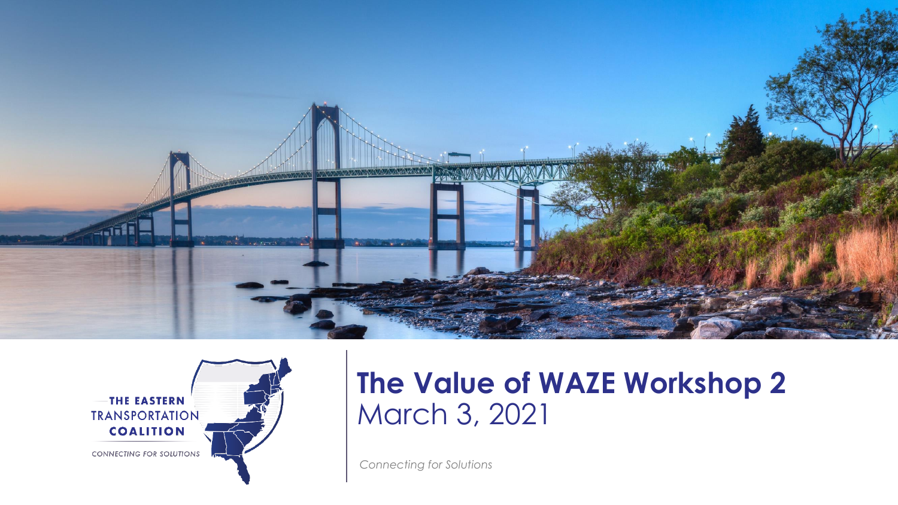



#### **The Value of WAZE Workshop 2**  March 3, 2021

*Connecting for Solutions*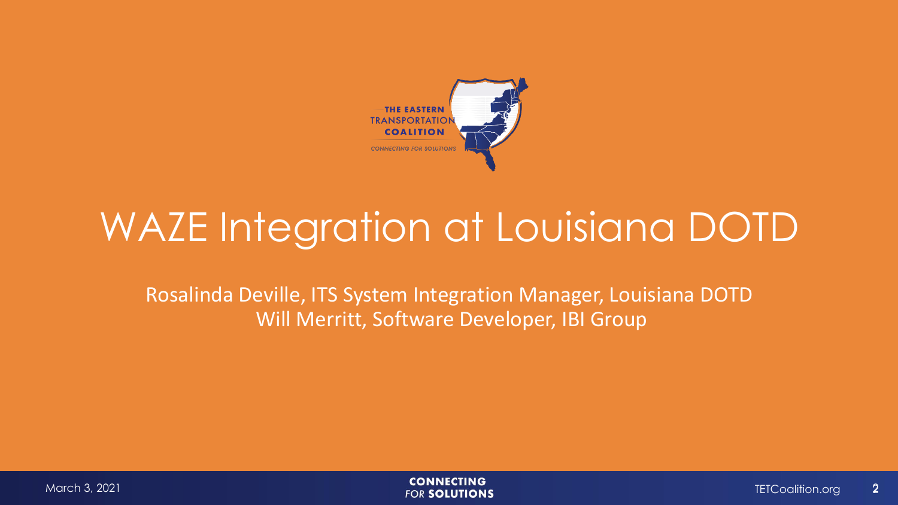

## WAZE Integration at Louisiana DOTD

Rosalinda Deville, ITS System Integration Manager, Louisiana DOTD Will Merritt, Software Developer, IBI Group

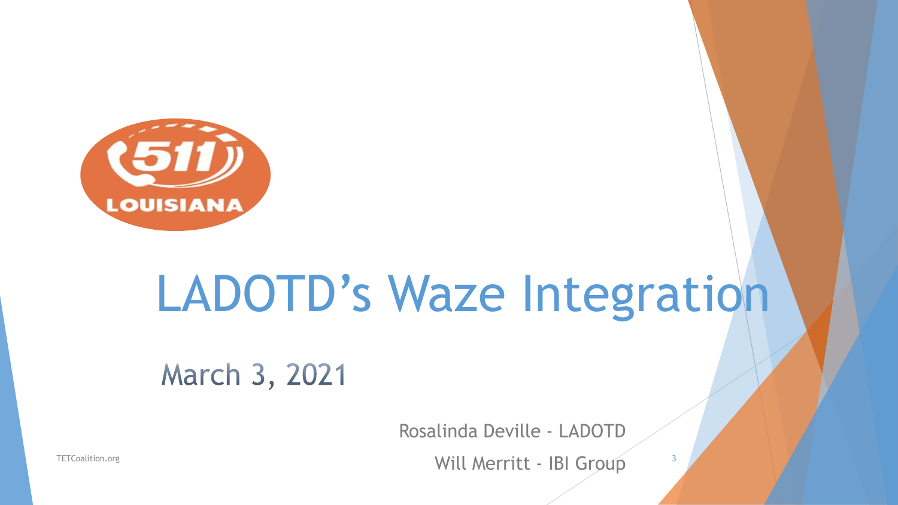

# LADOTD's Waze Integration

March 3, 2021

Rosalinda Deville - LADOTD

Will Merritt - IBI Group TETCoalition.org <sup>3</sup>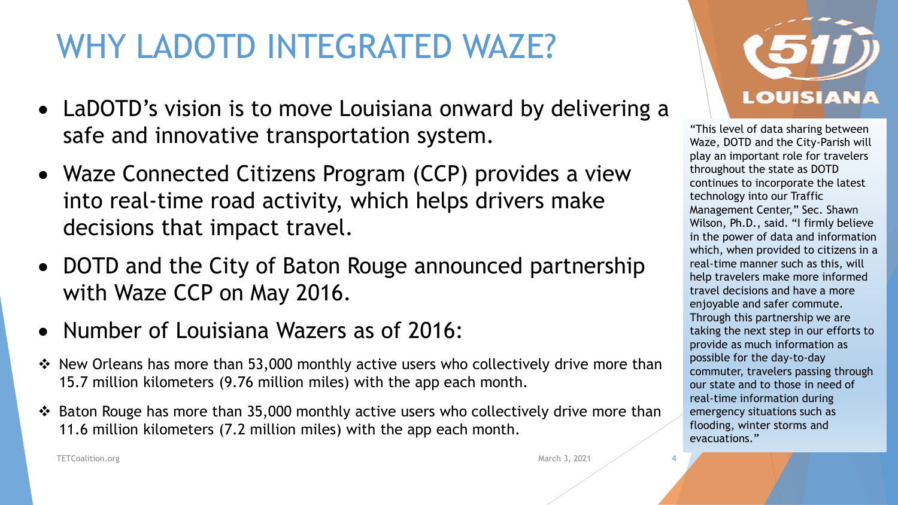### WHY LADOTD INTEGRATED WAZE?

- LaDOTD's vision is to move Louisiana onward by delivering a safe and innovative transportation system.
- Waze Connected Citizens Program (CCP) provides a view into real-time road activity, which helps drivers make decisions that impact travel.
- DOTD and the City of Baton Rouge announced partnership with Waze CCP on May 2016.
- Number of Louisiana Wazers as of 2016:
- ❖ New Orleans has more than 53,000 monthly active users who collectively drive more than 15.7 million kilometers (9.76 million miles) with the app each month.
- ❖ Baton Rouge has more than 35,000 monthly active users who collectively drive more than 11.6 million kilometers (7.2 million miles) with the app each month.



"This level of data sharing between Waze, DOTD and the City-Parish will play an important role for travelers throughout the state as DOTD continues to incorporate the latest technology into our Traffic Management Center," Sec. Shawn Wilson, Ph.D., said. "I firmly believe in the power of data and information which, when provided to citizens in a real-time manner such as this, will help travelers make more informed travel decisions and have a more enjoyable and safer commute. Through this partnership we are taking the next step in our efforts to provide as much information as possible for the day-to-day commuter, travelers passing through our state and to those in need of real-time information during emergency situations such as flooding, winter storms and evacuations."

TETCoalition.org March 3, 2021

4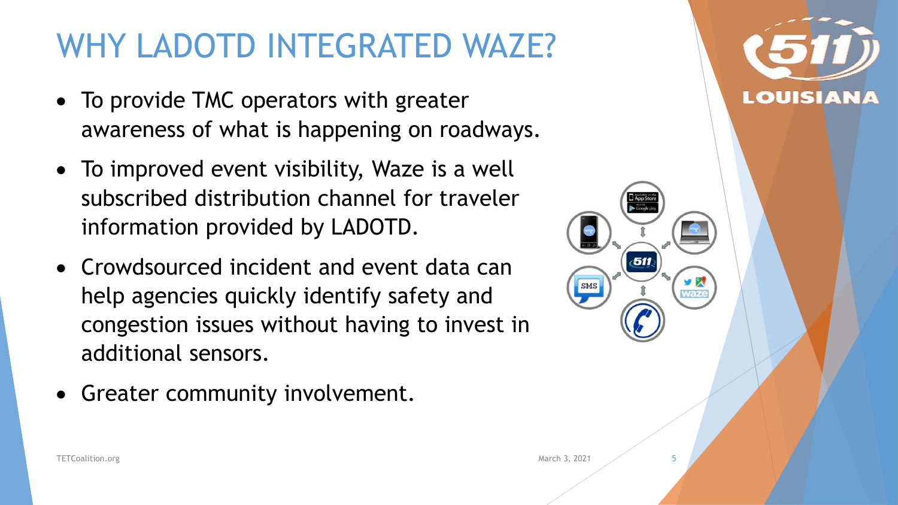#### WHY LADOTD INTEGRATED WAZE?

- To provide TMC operators with greater awareness of what is happening on roadways.
- To improved event visibility, Waze is a well subscribed distribution channel for traveler information provided by LADOTD.
- Crowdsourced incident and event data can help agencies quickly identify safety and congestion issues without having to invest in additional sensors.
- Greater community involvement.



SMS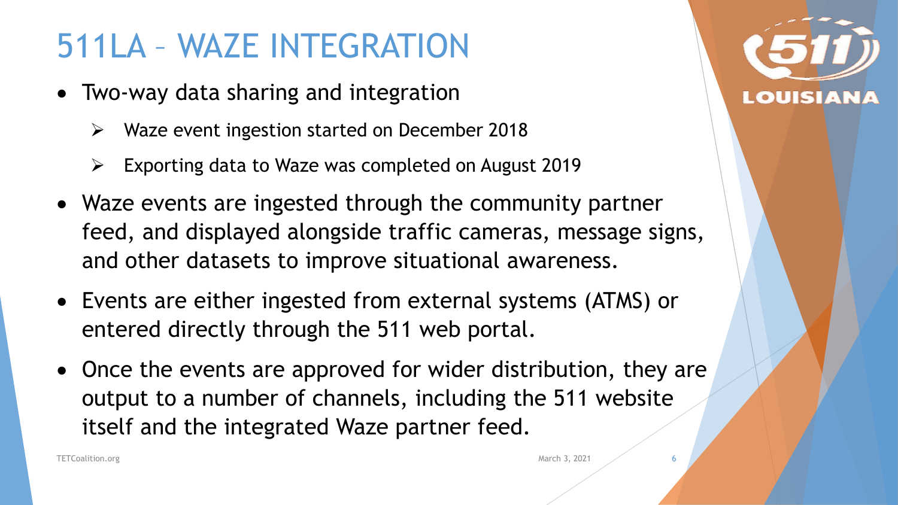#### 511LA – WAZE INTEGRATION

- Two-way data sharing and integration
	- ➢ Waze event ingestion started on December 2018
	- ➢ Exporting data to Waze was completed on August 2019
- Waze events are ingested through the community partner feed, and displayed alongside traffic cameras, message signs, and other datasets to improve situational awareness.
- Events are either ingested from external systems (ATMS) or entered directly through the 511 web portal.
- Once the events are approved for wider distribution, they are output to a number of channels, including the 511 website itself and the integrated Waze partner feed.



6

TETCoalition.org March 3, 2021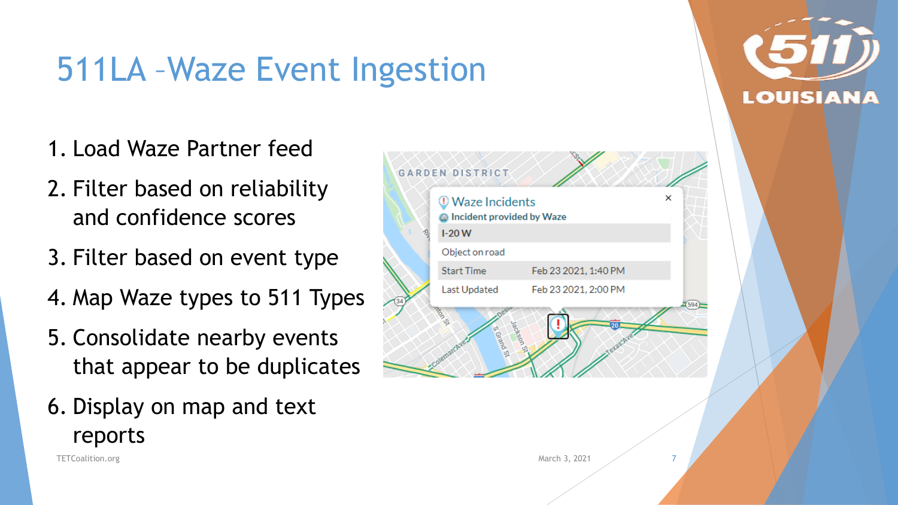### 511LA –Waze Event Ingestion

- 1. Load Waze Partner feed
- 2. Filter based on reliability and confidence scores
- 3. Filter based on event type
- 4. Map Waze types to 511 Types
- 5. Consolidate nearby events that appear to be duplicates
- 6. Display on map and text reports

TETCoalition.org March 3, 2021

|  | <b>Waze Incidents</b><br><b>O</b> Incident provided by Waze | ×                    |  |
|--|-------------------------------------------------------------|----------------------|--|
|  | $1-20W$                                                     |                      |  |
|  | Object on road                                              |                      |  |
|  | <b>Start Time</b>                                           | Feb 23 2021, 1:40 PM |  |
|  | Last Updated                                                | Feb 23 2021, 2:00 PM |  |
|  | <b>GRGS</b><br>e <sub>Qfa</sub><br>Coleman Av               |                      |  |



7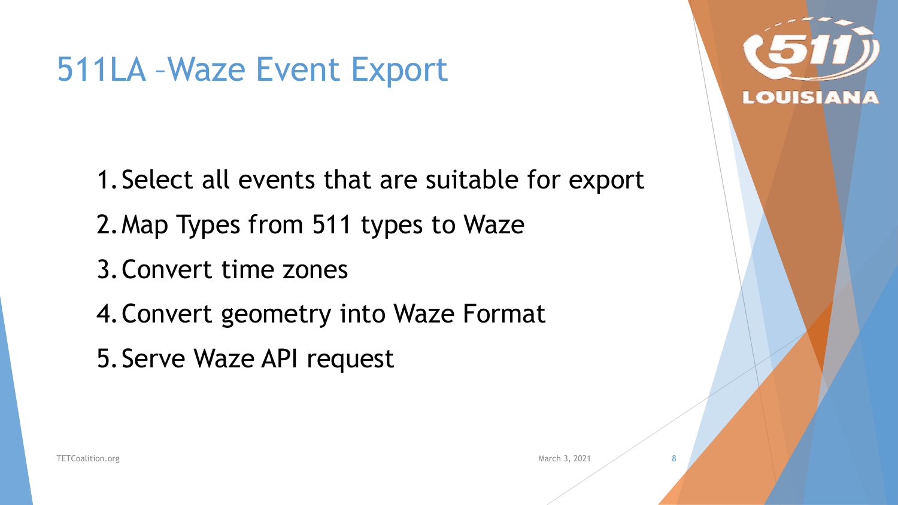#### 511LA –Waze Event Export

1.Select all events that are suitable for export 2.Map Types from 511 types to Waze

3.Convert time zones

4.Convert geometry into Waze Format

5.Serve Waze API request

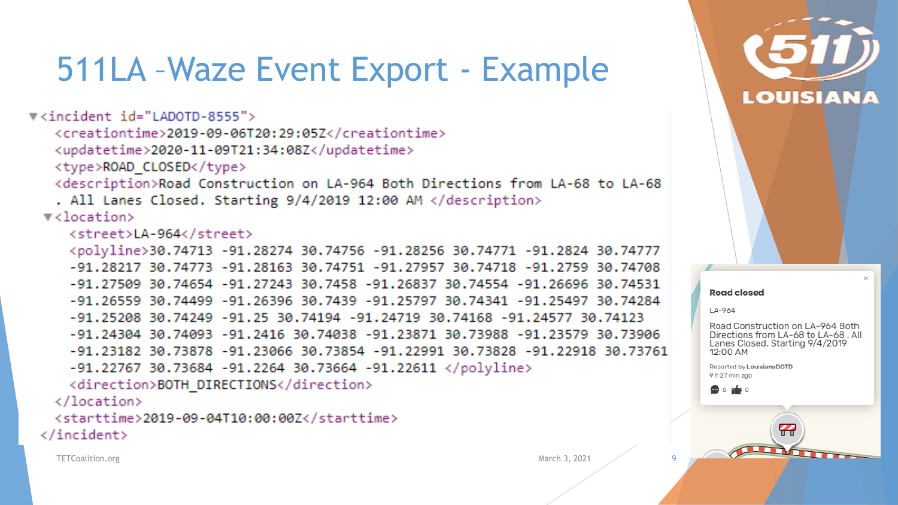#### 511LA –Waze Event Export - Example

▼<incident id="LADOTD-8555"> <creationtime>2019-09-06T20:29:05Z</creationtime> <updatetime>2020-11-09T21:34:08Z</updatetime> <type>ROAD CLOSED</type> <description>Road Construction on LA-964 Both Directions from LA-68 to LA-68 . All Lanes Closed. Starting 9/4/2019 12:00 AM </description>  $\blacktriangledown$  <location> <street>LA-964</street> <polyline>30.74713 -91.28274 30.74756 -91.28256 30.74771 -91.2824 30.74777 -91.28217 30.74773 -91.28163 30.74751 -91.27957 30.74718 -91.2759 30.74708 -91.27509 30.74654 -91.27243 30.7458 -91.26837 30.74554 -91.26696 30.74531 -91.26559 30.74499 -91.26396 30.7439 -91.25797 30.74341 -91.25497 30.74284 -91.25208 30.74249 -91.25 30.74194 -91.24719 30.74168 -91.24577 30.74123 -91.24304 30.74093 -91.2416 30.74038 -91.23871 30.73988 -91.23579 30.73906 -91.23182 30.73878 -91.23066 30.73854 -91.22991 30.73828 -91.22918 30.73761  $-91.22767$  30.73684  $-91.2264$  30.73664  $-91.22611$  </polyline> <direction>BOTH DIRECTIONS</direction>  $\langle$ /location> <starttime>2019-09-04T10:00:00Z</starttime>

 $\langle$ /incident>

TETCoalition.org March 3, 2021 9

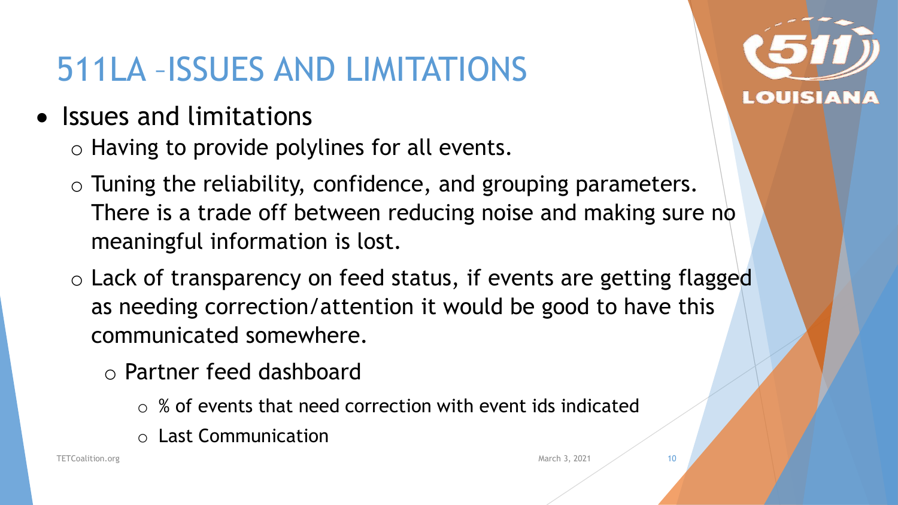#### 511LA –ISSUES AND LIMITATIONS

- Issues and limitations
	- o Having to provide polylines for all events.
	- o Tuning the reliability, confidence, and grouping parameters. There is a trade off between reducing noise and making sure no meaningful information is lost.
	- o Lack of transparency on feed status, if events are getting flagged as needing correction/attention it would be good to have this communicated somewhere.
		- o Partner feed dashboard
			- $\circ$  % of events that need correction with event ids indicated
			- o Last Communication



10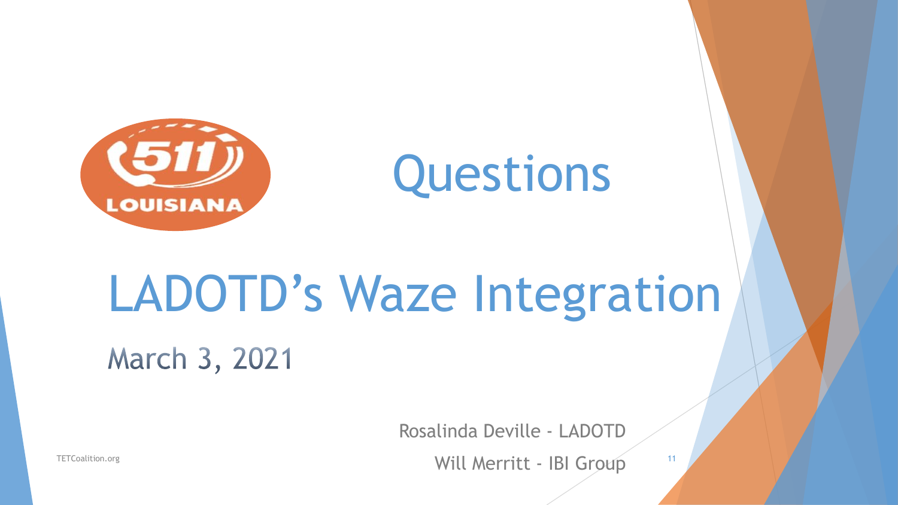



# LADOTD's Waze Integration March 3, 2021

Rosalinda Deville - LADOTD

Will Merritt - IBI Group 11

TETCoalition.org